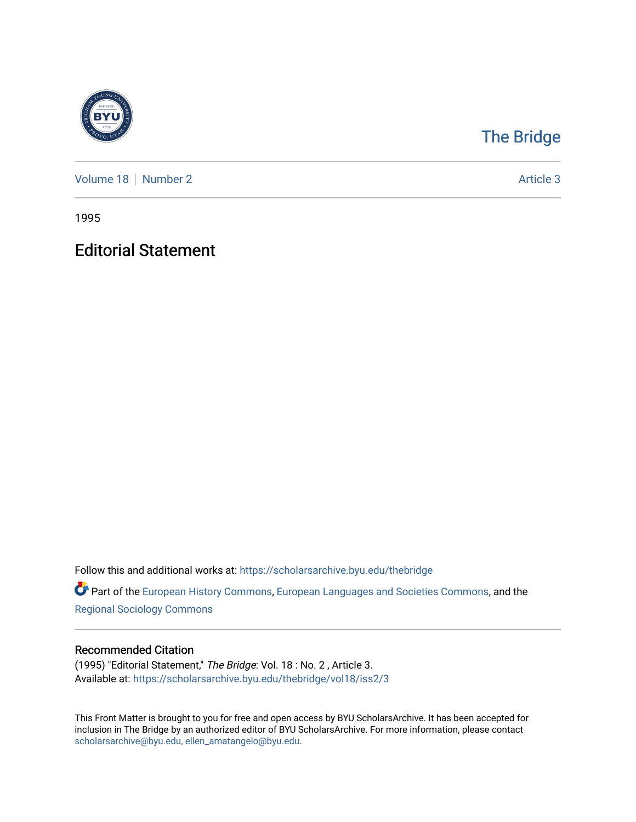

## [The Bridge](https://scholarsarchive.byu.edu/thebridge)

[Volume 18](https://scholarsarchive.byu.edu/thebridge/vol18) [Number 2](https://scholarsarchive.byu.edu/thebridge/vol18/iss2) Article 3

1995

Editorial Statement

Follow this and additional works at: [https://scholarsarchive.byu.edu/thebridge](https://scholarsarchive.byu.edu/thebridge?utm_source=scholarsarchive.byu.edu%2Fthebridge%2Fvol18%2Fiss2%2F3&utm_medium=PDF&utm_campaign=PDFCoverPages) 

**Part of the [European History Commons](http://network.bepress.com/hgg/discipline/492?utm_source=scholarsarchive.byu.edu%2Fthebridge%2Fvol18%2Fiss2%2F3&utm_medium=PDF&utm_campaign=PDFCoverPages), [European Languages and Societies Commons,](http://network.bepress.com/hgg/discipline/482?utm_source=scholarsarchive.byu.edu%2Fthebridge%2Fvol18%2Fiss2%2F3&utm_medium=PDF&utm_campaign=PDFCoverPages) and the** [Regional Sociology Commons](http://network.bepress.com/hgg/discipline/427?utm_source=scholarsarchive.byu.edu%2Fthebridge%2Fvol18%2Fiss2%2F3&utm_medium=PDF&utm_campaign=PDFCoverPages) 

## Recommended Citation

(1995) "Editorial Statement," The Bridge: Vol. 18 : No. 2 , Article 3. Available at: [https://scholarsarchive.byu.edu/thebridge/vol18/iss2/3](https://scholarsarchive.byu.edu/thebridge/vol18/iss2/3?utm_source=scholarsarchive.byu.edu%2Fthebridge%2Fvol18%2Fiss2%2F3&utm_medium=PDF&utm_campaign=PDFCoverPages) 

This Front Matter is brought to you for free and open access by BYU ScholarsArchive. It has been accepted for inclusion in The Bridge by an authorized editor of BYU ScholarsArchive. For more information, please contact [scholarsarchive@byu.edu, ellen\\_amatangelo@byu.edu](mailto:scholarsarchive@byu.edu,%20ellen_amatangelo@byu.edu).